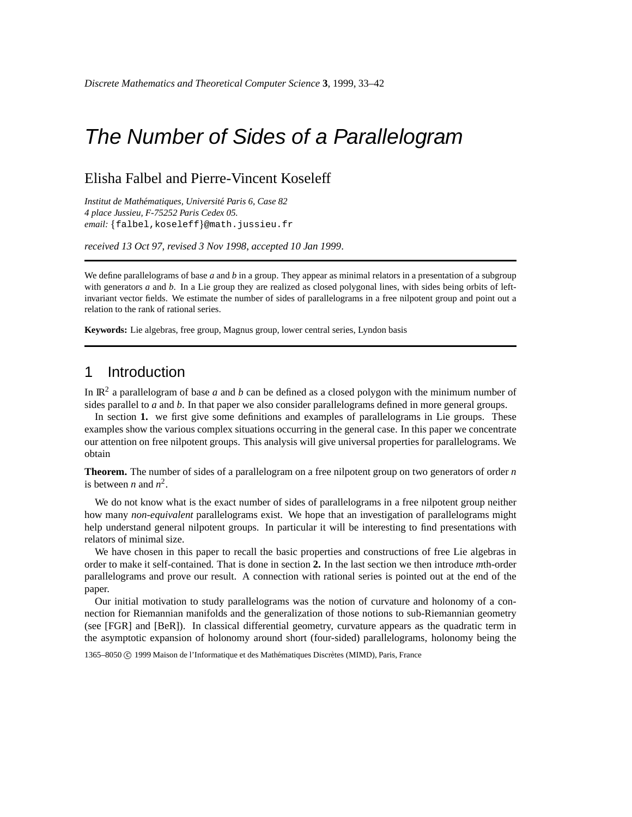# The Number of Sides of a Parallelogram

### Elisha Falbel and Pierre-Vincent Koseleff

*Institut de Mathematiques, ´ Universite´ Paris 6, Case 82 4 place Jussieu, F-75252 Paris Cedex 05. email:* falbel,koseleff @math.jussieu.fr

*received 13 Oct 97*, *revised 3 Nov 1998*, *accepted 10 Jan 1999*.

We define parallelograms of base *a* and *b* in a group. They appear as minimal relators in a presentation of a subgroup with generators *a* and *b*. In a Lie group they are realized as closed polygonal lines, with sides being orbits of leftinvariant vector fields. We estimate the number of sides of parallelograms in a free nilpotent group and point out a relation to the rank of rational series.

**Keywords:** Lie algebras, free group, Magnus group, lower central series, Lyndon basis

## 1 Introduction

In IR<sup>2</sup> a parallelogram of base *a* and *b* can be defined as a closed polygon with the minimum number of sides parallel to *a* and *b*. In that paper we also consider parallelograms defined in more general groups.

In section **1.** we first give some definitions and examples of parallelograms in Lie groups. These examples show the various complex situations occurring in the general case. In this paper we concentrate our attention on free nilpotent groups. This analysis will give universal properties for parallelograms. We obtain

**Theorem.** The number of sides of a parallelogram on a free nilpotent group on two generators of order *n* is between *n* and  $n^2$ .

We do not know what is the exact number of sides of parallelograms in a free nilpotent group neither how many *non-equivalent* parallelograms exist. We hope that an investigation of parallelograms might help understand general nilpotent groups. In particular it will be interesting to find presentations with relators of minimal size.

We have chosen in this paper to recall the basic properties and constructions of free Lie algebras in order to make it self-contained. That is done in section **2.** In the last section we then introduce *m*th-order parallelograms and prove our result. A connection with rational series is pointed out at the end of the paper.

Our initial motivation to study parallelograms was the notion of curvature and holonomy of a connection for Riemannian manifolds and the generalization of those notions to sub-Riemannian geometry (see [FGR] and [BeR]). In classical differential geometry, curvature appears as the quadratic term in the asymptotic expansion of holonomy around short (four-sided) parallelograms, holonomy being the

1365–8050 © 1999 Maison de l'Informatique et des Mathématiques Discrètes (MIMD), Paris, France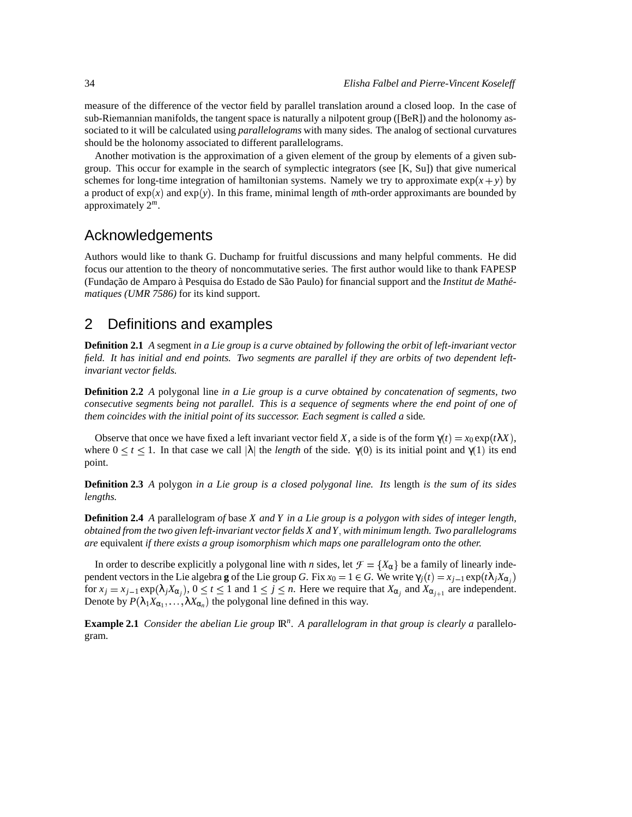measure of the difference of the vector field by parallel translation around a closed loop. In the case of sub-Riemannian manifolds, the tangent space is naturally a nilpotent group ([BeR]) and the holonomy associated to it will be calculated using *parallelograms* with many sides. The analog of sectional curvatures should be the holonomy associated to different parallelograms.

Another motivation is the approximation of a given element of the group by elements of a given subgroup. This occur for example in the search of symplectic integrators (see [K, Su]) that give numerical schemes for long-time integration of hamiltonian systems. Namely we try to approximate  $\exp(x + y)$  by a product of  $exp(x)$  and  $exp(y)$ . In this frame, minimal length of *m*th-order approximants are bounded by approximately 2 *m*.

# Acknowledgements

Authors would like to thank G. Duchamp for fruitful discussions and many helpful comments. He did focus our attention to the theory of noncommutative series. The first author would like to thank FAPESP (Fundação de Amparo à Pesquisa do Estado de São Paulo) for financial support and the *Institut de Mathématiques (UMR 7586)* for its kind support.

# 2 Definitions and examples

**Definition 2.1** A segment in a Lie group is a curve obtained by following the orbit of left-invariant vector field. It has initial and end points. Two segments are parallel if they are orbits of two dependent left*invariant vector fields.*

**Definition 2.2** *A* polygonal line *in a Lie group is a curve obtained by concatenation of segments, two* consecutive segments being not parallel. This is a sequence of segments where the end point of one of *them coincides with the initial point of its successor. Each segment is called a* side*.*

Observe that once we have fixed a left invariant vector field *X*, a side is of the form  $\gamma(t) = x_0 \exp(t \lambda X)$ . where  $0 \lt t \lt 1$ . In that case we call  $|\lambda|$  the *length* of the side.  $\gamma(0)$  is its initial point and  $\gamma(1)$  its end point.

**Definition 2.3** A polygon in a Lie group is a closed polygonal line. Its length is the sum of its sides *lengths.*

**Definition 2.4** A parallelogram of base  $X$  and  $Y$  in a Lie group is a polygon with sides of integer length, *obtained from the two given left-invariant vector fields X andY with minimum length. Two parallelograms are* equivalent *if there exists a group isomorphism which maps one parallelogram onto the other.*

In order to describe explicitly a polygonal line with *n* sides, let  $\mathcal{F} = \{X_\alpha\}$  be a family of linearly independent vectors in the Lie algebra **g** of the Lie group *G*. Fix  $x_0 = 1 \in G$ . We write  $\gamma_i(t) = x_{i-1} \exp(t\lambda_i X_{\alpha_i})$ for  $x_j = x_{j-1} \exp(\lambda_j X_{\alpha_j})$ ,  $0 \le t \le 1$  and  $1 \le j \le n$ . Here we require that  $X_{\alpha_j}$  and  $X_{\alpha_{j+1}}$  are independent. Denote by  $P(\lambda_1 X_{\alpha_1},..., \lambda X_{\alpha_n})$  the polygonal line defined in this way.

**Example 2.1** Consider the abelian Lie group  $\mathbb{R}^n$ . A parallelogram in that group is clearly a parallelogram*.*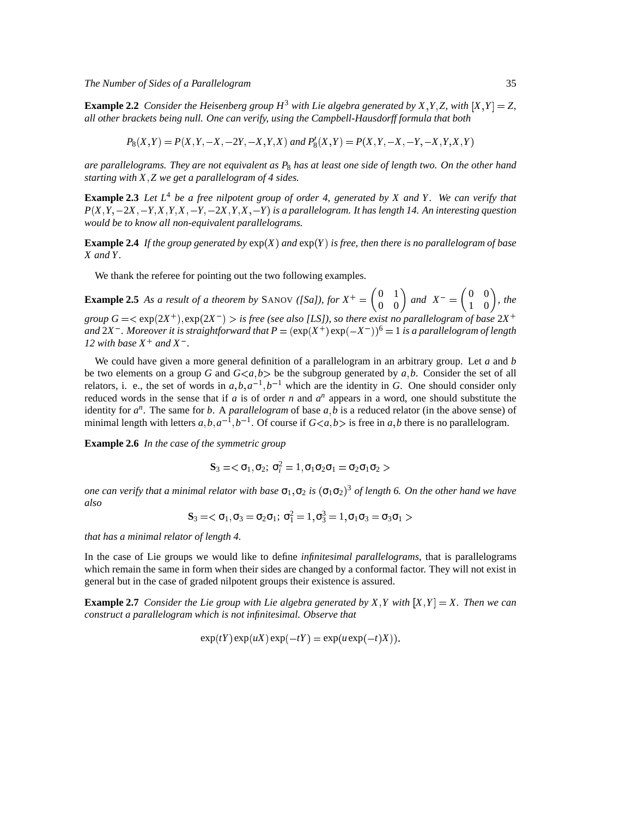*The Number of Sides of a Parallelogram* 35

**Example 2.2** Consider the Heisenberg group  $H^3$  with Lie algebra generated by X, Y, Z, with  $[X, Y] = Z$ , *all other brackets being null. One can verify, using the Campbell-Hausdorff formula that both*

$$
P_8(X,Y) = P(X,Y,-X,-2Y,-X,Y,X) \text{ and } P'_8(X,Y) = P(X,Y,-X,-Y,-X,Y,X,Y)
$$

are parallelograms. They are not equivalent as  $P_8$  has at least one side of length two. On the other hand *starting with X Z we get a parallelogram of 4 sides.*

**Example 2.3** Let  $L^4$  be a free nilpotent group of order 4, generated by X and Y. We can verify that  $P(X, Y, -2X, -Y, X, Y, X, -Y, -2X, Y, X, -Y)$  is a parallelogram. It has length 14. An interesting question *would be to know all non-equivalent parallelograms.*

**Example 2.4** If the group generated by  $exp(X)$  and  $exp(Y)$  is free, then there is no parallelogram of base *X andY.*

We thank the referee for pointing out the two following examples.

**Example 2.5** As a result of a theorem by SANOV ([Sa]), for  $X^+ = \begin{pmatrix} 0 & 1 \\ 0 & 0 \end{pmatrix}$  and  $\begin{pmatrix} 0 & 1 \\ 0 & 0 \end{pmatrix}$  and  $X^- = \begin{pmatrix} 0 & 0 \\ 1 & 0 \end{pmatrix}$ , the  $\begin{pmatrix} 0 & 0 \\ 1 & 0 \end{pmatrix}$ , the group  $G = <\exp(2X^+)$ ,  $\exp(2X^-) >$  is free (see also [LS]), so there exist no parallelogram of base  $2X^+$ and  $2X^-$  . Moreover it is straightforward that  $P = (\exp(X^+) \exp(-X^-))^6 = 1$  is a parallelogram of length *12 with base*  $X^+$  *and*  $X^-$ .

We could have given a more general definition of a parallelogram in an arbitrary group. Let *a* and *b* be two elements on a group *G* and  $G \lt a, b$  be the subgroup generated by  $a, b$ . Consider the set of all relators, i. e., the set of words in  $a, b, a^{-1}, b^{-1}$  which are the identity in *G*. One should consider only reduced words in the sense that if  $a$  is of order  $n$  and  $a^n$  appears in a word, one should substitute the identity for  $a^n$ . The same for *b*. A *parallelogram* of base  $a, b$  is a reduced relator (in the above sense) of minimal length with letters  $a, b, a^{-1}, b^{-1}$ . Of course if  $G \le a, b >$  is free in  $a, b$  there is no parallelogram.

**Example 2.6** *In the case of the symmetric group*

$$
\mathbf{S}_3=<\sigma_1,\sigma_2;\,\sigma_i^2=1,\sigma_1\sigma_2\sigma_1=\sigma_2\sigma_1\sigma_2>
$$

one can verify that a minimal relator with base  $\sigma_1,\sigma_2$  is  $(\sigma_1\sigma_2)^3$  of length 6. On the other hand we have *also*

$$
\mathbf{S}_3=<\sigma_1,\sigma_3=\sigma_2\sigma_1;\ \sigma_1^2=1,\sigma_3^3=1,\sigma_1\sigma_3=\sigma_3\sigma_1>
$$

*that has a minimal relator of length 4.*

In the case of Lie groups we would like to define *infinitesimal parallelograms*, that is parallelograms which remain the same in form when their sides are changed by a conformal factor. They will not exist in general but in the case of graded nilpotent groups their existence is assured.

**Example 2.7** Consider the Lie group with Lie algebra generated by X, Y with  $[X, Y] = X$ . Then we can *construct a parallelogram which is not infinitesimal. Observe that*

$$
\exp(tY)\exp(uX)\exp(-tY) = \exp(u\exp(-t)X)).
$$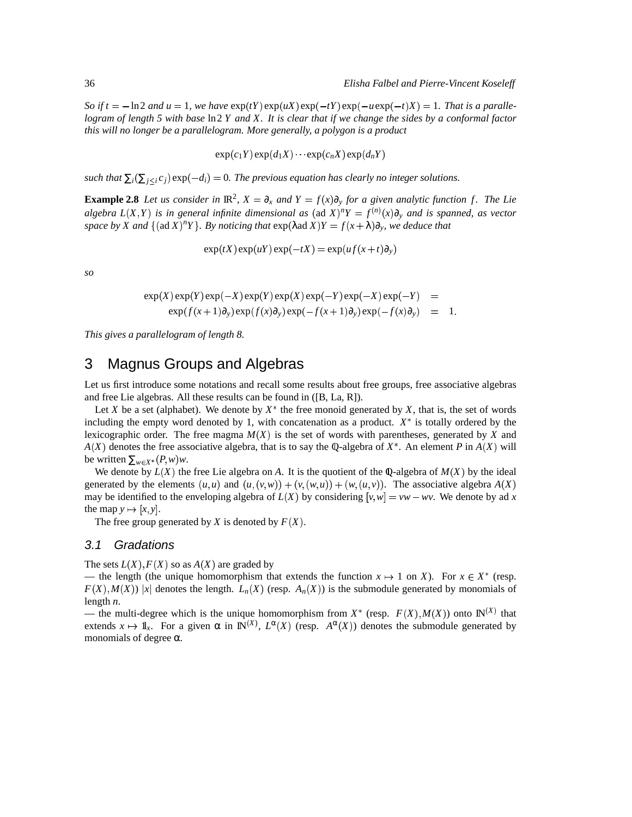So if  $t = -\ln 2$  and  $u = 1$ , we have  $\exp(tY) \exp(uX) \exp(-tY) \exp(-u \exp(-t)X) = 1$ . That is a parallelogram of length 5 with base  $\ln 2 Y$  and X. It is clear that if we change the sides by a conformal factor *this will no longer be a parallelogram. More generally, a polygon is a product*

 $\exp(c_1 Y) \exp(d_1 X) \cdots \exp(c_n X) \exp(d_n Y)$ 

*such that*  $\sum_i (\sum_{j \leq i} c_j)$   $\exp(-d_i) = 0$ . *The previous equation has clearly no integer solutions.* 

**Example 2.8** Let us consider in  $\mathbb{R}^2$ ,  $X = \partial_x$  and  $Y = f(x)\partial_y$  for a given analytic function f. The Lie algebra  $L(X,Y)$  is in general infinite dimensional as  $(\text{ad } X)^n Y = f^{(n)}(x) \partial_y$  and is spanned, as vector space by X and  $\{(\text{ad }X)^nY\}$ . By noticing that  $\exp(\lambda \text{ad }X)Y = f(x + \lambda)\partial_y$ , we deduce that

 $\exp(tX) \exp(uY) \exp(-tX) = \exp(u f(x + t) \partial_y)$ 

*so*

$$
\exp(X)\exp(Y)\exp(-X)\exp(Y)\exp(X)\exp(-Y)\exp(-X)\exp(-Y) =
$$
  
 
$$
\exp(f(x+1)\partial_y)\exp(f(x)\partial_y)\exp(-f(x+1)\partial_y)\exp(-f(x)\partial_y) = 1.
$$

*This gives a parallelogram of length 8.*

### 3 Magnus Groups and Algebras

Let us first introduce some notations and recall some results about free groups, free associative algebras and free Lie algebras. All these results can be found in ([B, La, R]).

Let *X* be a set (alphabet). We denote by  $X^*$  the free monoid generated by X, that is, the set of words including the empty word denoted by 1, with concatenation as a product.  $X^*$  is totally ordered by the lexicographic order. The free magma  $M(X)$  is the set of words with parentheses, generated by  $X$  and  $A(X)$  denotes the free associative algebra, that is to say the Q-algebra of  $X^*$ . An element *P* in  $A(X)$  will be written  $\sum_{w \in X^*} (P, w) w$ .

We denote by  $L(X)$  the free Lie algebra on A. It is the quotient of the Q-algebra of  $M(X)$  by the ideal generated by the elements  $(u, u)$  and  $(u, (v, w)) + (v, (w, u)) + (w, (u, v))$ . The associative algebra  $A(X)$ may be identified to the enveloping algebra of  $L(X)$  by considering  $[v, w] = vw - wv$ . We denote by ad x the map  $y \mapsto [x, y]$ .

The free group generated by *X* is denoted by  $F(X)$ .

### 3.1 Gradations

The sets  $L(X)$ ,  $F(X)$  so as  $A(X)$  are graded by

— the length (the unique homomorphism that extends the function  $x \mapsto 1$  on *X*). For  $x \in X^*$  (resp.  $F(X), M(X)$  |x| denotes the length.  $L_n(X)$  (resp.  $A_n(X)$ ) is the submodule generated by monomials of length *n*.

— the multi-degree which is the unique homomorphism from  $X^*$  (resp.  $F(X), M(X)$ ) onto  $\mathbb{N}^{(X)}$  that extends  $x \mapsto \mathbb{I}_x$ . For a given  $\alpha$  in  $\mathbb{N}^{(X)}$ ,  $L^{\alpha}(X)$  (resp.  $A^{\alpha}(X)$ ) denotes the submodule generated by monomials of degree  $\alpha$ .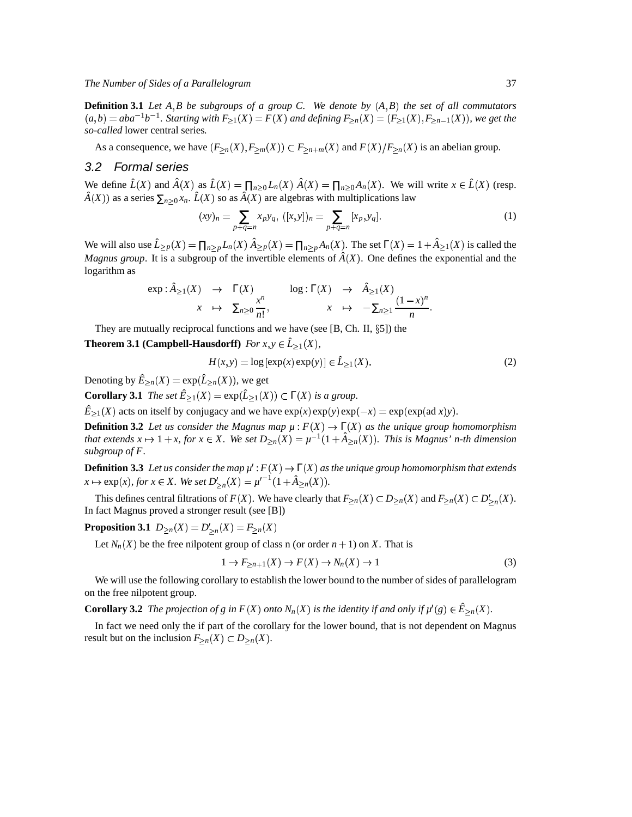**Definition 3.1** Let  $A, B$  be subgroups of a group C. We denote by  $(A, B)$  the set of all commutators  $(a,b)=aba^{-1}b^{-1}$ . Starting with  $F_{\geq 1}(X)=F(X)$  and defining  $F_{\geq n}(X)=(F_{\geq 1}(X), F_{\geq n-1}(X))$ , we get the *so-called* lower central series*.*

As a consequence, we have  $(F_{\ge n}(X), F_{\ge m}(X)) \subset F_{\ge n+m}(X)$  and  $F(X)/F_{\ge n}(X)$  is an abelian group.

#### 3.2 Formal series

We define  $\hat{L}(X)$  and  $\hat{A}(X)$  as  $\hat{L}(X) = \prod_{n>0} L_n(X) \hat{A}(X) = \prod_{n>0} A_n(X)$ . We will write  $x \in \hat{L}(X)$  (resp.  $\hat{A}(X)$  as a series  $\sum_{n>0} x_n$ .  $\hat{L}(X)$  so as  $\hat{A}(X)$  are algebras with multiplications law

$$
(xy)_n = \sum_{p+q=n} x_p y_q, \ ([x, y])_n = \sum_{p+q=n} [x_p, y_q]. \tag{1}
$$

We will also use  $\hat{L}_{\geq p}(X) = \prod_{n>p} L_n(X) \hat{A}_{\geq p}(X) = \prod_{n>p} A_n(X)$ . The set  $\Gamma(X) = 1 + \hat{A}_{\geq 1}(X)$  is called the *Magnus group*. It is a subgroup of the invertible elements of  $\hat{A}(X)$ . One defines the exponential and the logarithm as

$$
\exp: \hat{A}_{\geq 1}(X) \rightarrow \Gamma(X) \qquad \text{log}: \Gamma(X) \rightarrow \hat{A}_{\geq 1}(X) \qquad \qquad x \rightarrow \sum_{n\geq 0} \frac{x^n}{n!}, \qquad x \rightarrow -\sum_{n\geq 1} \frac{(1-x)^n}{n}.
$$

They are mutually reciprocal functions and we have (see  $[B, Ch, H, \S 5]$ ) the

**Theorem 3.1** (Campbell-Hausdorff) *For*  $x, y \in \hat{L}_{\geq 1}(X)$ ,

$$
H(x, y) = \log [\exp(x) \exp(y)] \in \hat{L}_{\ge 1}(X). \tag{2}
$$

Denoting by  $\hat{E}_{>n}(X) = \exp(\hat{L}_{>n}(X))$ , we get

**Corollary 3.1** *The set*  $\hat{E}_{\geq 1}(X) = \exp(\hat{L}_{\geq 1}(X)) \subset \Gamma(X)$  *is a group.* 

 $\hat{E}_{\geq 1}(X)$  acts on itself by conjugacy and we have  $\exp(x)\exp(y)\exp(-x) = \exp(\exp(\arg(x))y)$ .

**Definition** 3.2 Let us consider the Magnus map  $\mu$ :  $F(X) \to \Gamma(X)$  as the unique group homomorphism that extends  $x \mapsto 1 + x$ , for  $x \in X$ . We set  $D_{\geq n}(X) = \mu^{-1}(1 + \hat{A}_{\geq n}(X))$ . This is Magnus' n-th dimension *subgroup of F.*

**Definition** 3.3 Let us consider the map  $\mu': F(X) \to \Gamma(X)$  as the unique group homomorphism that extends  $x \mapsto \exp(x)$ , for  $x \in X$ . We set  $D'_{>n}(X) = \mu'^{-1}(1 + \hat{A}_{>n}(X)).$ 

This defines central filtrations of  $F(X)$ . We have clearly that  $F_{\geq n}(X) \subset D_{\geq n}(X)$  and  $F_{\geq n}(X) \subset D'_{\geq n}(X)$ . In fact Magnus proved a stronger result (see [B])

**Proposition 3.1**  $D_{\geq n}(X) = D'_{>n}(X) = F_{\geq n}(X)$ 

Let  $N_n(X)$  be the free nilpotent group of class n (or order  $n + 1$ ) on X. That is

$$
1 \to F_{\geq n+1}(X) \to F(X) \to N_n(X) \to 1
$$
\n(3)

We will use the following corollary to establish the lower bound to the number of sides of parallelogram on the free nilpotent group.

**Corollary 3.2** The projection of g in  $F(X)$  onto  $N_n(X)$  is the identity if and only if  $\mu'(g) \in \hat{E}_{\geq n}(X)$ .

In fact we need only the if part of the corollary for the lower bound, that is not dependent on Magnus result but on the inclusion  $F_{>n}(X) \subset D_{>n}(X)$ .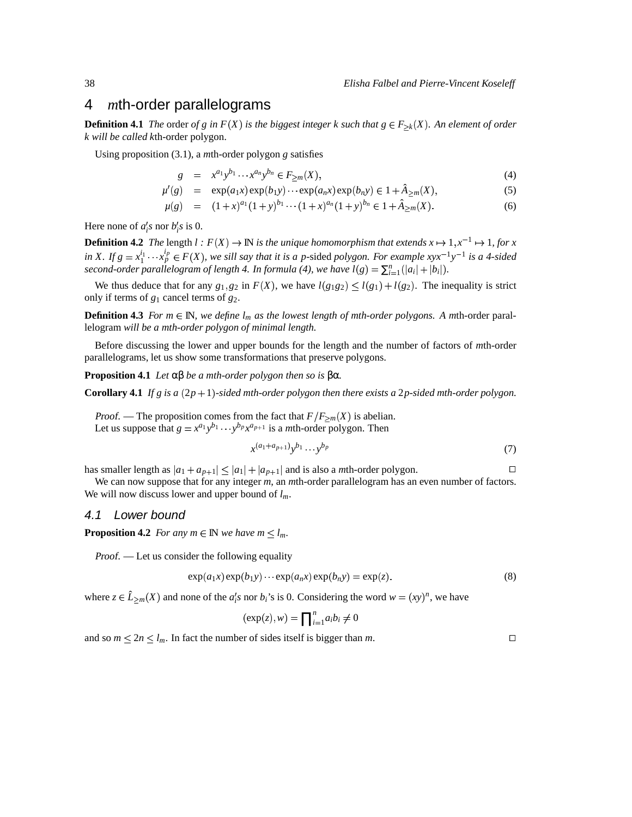### 4 *m*th-order parallelograms

**Definition 4.1** The order of g in  $F(X)$  is the biggest integer k such that  $g \in F_{\geq k}(X)$ . An element of order *k will be called k*th-order polygon*.*

Using proposition (3.1), a *m*th-order polygon *g* satisfies

$$
g = x^{a_1} y^{b_1} \cdots x^{a_n} y^{b_n} \in F_{\geq m}(X), \tag{4}
$$

$$
\mu'(g) = \exp(a_1 x) \exp(b_1 y) \cdots \exp(a_n x) \exp(b_n y) \in 1 + \hat{A}_{\geq m}(X), \tag{5}
$$

$$
\mu(g) = (1+x)^{a_1}(1+y)^{b_1}\cdots(1+x)^{a_n}(1+y)^{b_n} \in 1+\hat{A}_{\geq m}(X). \tag{6}
$$

Here none of  $a_i$ 's nor  $b_i$ 's is 0.

**Definition 4.2** The length  $l : F(X) \to \mathbb{N}$  is the unique homomorphism that extends  $x \mapsto 1, x^{-1} \mapsto 1$ , for x in X. If  $g = x_1^{i_1} \cdots x_p^{i_p} \in F(X)$ , we sill say that it is a p-sided polygon. For example  $xyx^{-1}y^{-1}$  is a 4-sided second-order parallelogram of length 4. In formula (4), we have  $l(g) = \sum_{i=1}^{n} (|a_i| + |b_i|)$ .

We thus deduce that for any  $g_1, g_2$  in  $F(X)$ , we have  $l(g_1g_2) \le l(g_1) + l(g_2)$ . The inequality is strict only if terms of *g*<sup>1</sup> cancel terms of *g*2.

**Definition 4.3** For  $m \in \mathbb{N}$ , we define  $l_m$  as the lowest length of mth-order polygons. A mth-order parallelogram *will be a mth-order polygon of minimal length.*

Before discussing the lower and upper bounds for the length and the number of factors of *m*th-order parallelograms, let us show some transformations that preserve polygons.

**Proposition 4.1** *Let* αβ *be a mth-order polygon then so is* βα*.*

**Corollary 4.1** If  $g$  is  $a(2p+1)$ -sided *mth-order polygon then there exists*  $a 2p$ -sided *mth-order polygon.* 

*Proof.* — The proposition comes from the fact that  $F/F_{\geq m}(X)$  is abelian. Let us suppose that  $g = x^{a_1}y^{b_1} \cdots y^{b_p}x^{a_{p+1}}$  is a *m*th-order polygon. Then

$$
x^{(a_1+a_{p+1})}y^{b_1}\cdots y^{b_p} \tag{7}
$$

has smaller length as  $|a_1 + a_{p+1}| \le |a_1| + |a_{p+1}|$  and is also a *m*th-order polygon.

We can now suppose that for any integer *m*, an *m*th-order parallelogram has an even number of factors. We will now discuss lower and upper bound of *lm*.

### 4.1 Lower bound

**Proposition 4.2** *For any*  $m \in \mathbb{N}$  *we have*  $m \leq l_m$ *.* 

Proof. — Let us consider the following equality

$$
\exp(a_1x)\exp(b_1y)\cdots\exp(a_nx)\exp(b_ny)=\exp(z).
$$
\n(8)

where  $z \in \hat{L}_{\geq m}(X)$  and none of the  $a'_i s$  nor  $b_i$ 's is 0. Considering the word  $w = (xy)^n$ , we have

$$
(\exp(z), w) = \prod_{i=1}^{n} a_i b_i \neq 0
$$

and so  $m \le 2n \le l_m$ . In fact the number of sides itself is bigger than *m*.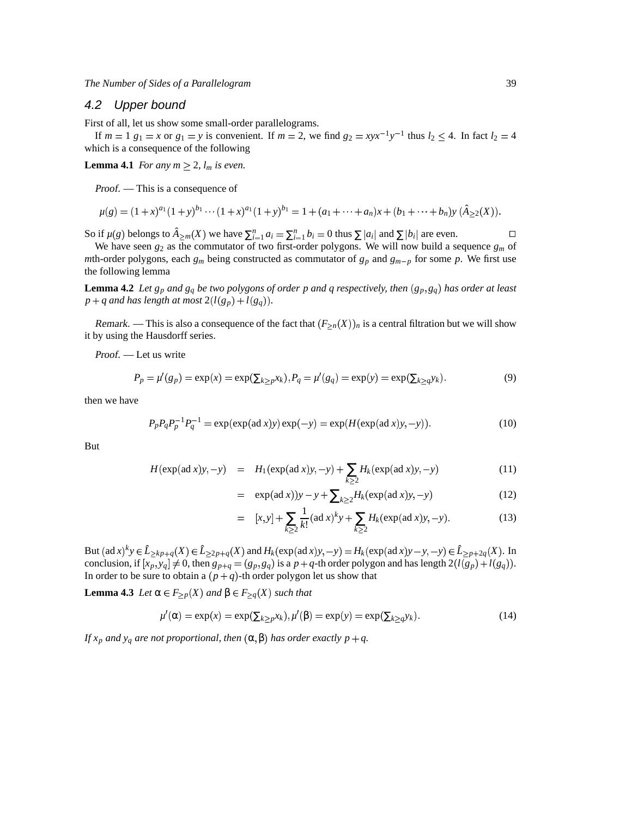### 4.2 Upper bound

First of all, let us show some small-order parallelograms.

If  $m = 1$   $g_1 = x$  or  $g_1 = y$  is convenient. If  $m = 2$ , we find  $g_2 = xyx^{-1}y^{-1}$  thus  $l_2 \le 4$ . In fact  $l_2 = 4$ which is a consequence of the following

**Lemma 4.1** *For any*  $m \geq 2$ ,  $l_m$  *is even.* 

Proof. — This is a consequence of

$$
\mu(g) = (1+x)^{a_1}(1+y)^{b_1}\cdots(1+x)^{a_1}(1+y)^{b_1} = 1 + (a_1+\cdots+a_n)x + (b_1+\cdots+b_n)y \ (\hat{A}_{\geq 2}(X)).
$$

So if  $\mu(g)$  belongs to  $\hat{A}_{\geq m}(X)$  we have  $\sum_{i=1}^{n} a_i = \sum_{i=1}^{n} b_i = 0$  thus  $\sum |a_i|$  and  $\sum |b_i|$  are even.

We have seen  $g_2$  as the commutator of two first-order polygons. We will now build a sequence  $g_m$  of *m*th-order polygons, each  $g_m$  being constructed as commutator of  $g_p$  and  $g_{m-p}$  for some p. We first use the following lemma

**Lemma 4.2** Let  $g_p$  and  $g_q$  be two polygons of order p and q respectively, then  $(g_p, g_q)$  has order at least  $p + q$  *and has length at most*  $2(l(g_p) + l(g_q))$ *.* 

Remark. — This is also a consequence of the fact that  $(F_{\geq n}(X))_n$  is a central filtration but we will show it by using the Hausdorff series.

Proof. — Let us write

$$
P_p = \mu'(g_p) = \exp(x) = \exp(\sum_{k \ge p} x_k), P_q = \mu'(g_q) = \exp(y) = \exp(\sum_{k \ge q} y_k).
$$
\n(9)

then we have

$$
P_p P_q P_p^{-1} P_q^{-1} = \exp(\exp(\text{ad } x) y) \exp(-y) = \exp(H(\exp(\text{ad } x) y, -y)).
$$
\n(10)

But

$$
H(\exp(\text{ad }x)y, -y) = H_1(\exp(\text{ad }x)y, -y) + \sum_{k \ge 2} H_k(\exp(\text{ad }x)y, -y) \tag{11}
$$

= 
$$
\exp(\text{ad } x)y - y + \sum_{k \ge 2} H_k(\exp(\text{ad } x)y, -y)
$$
 (12)

$$
= [x, y] + \sum_{k \ge 2} \frac{1}{k!} (\text{ad } x)^k y + \sum_{k \ge 2} H_k(\exp(\text{ad } x) y, -y).
$$
 (13)

But  $(\text{ad } x)^k y \in \hat{L}_{\geq k p+q}(X) \in \hat{L}_{\geq 2p+q}(X)$  and  $H_k(\exp(\text{ad } x)y, -y) = H_k(\exp(\text{ad } x)y - y, -y) \in \hat{L}_{\geq p+2q}(X)$ . In conclusion, if  $[x_p, y_q] \neq 0$ , then  $g_{p+q} = (g_p, g_q)$  is a  $p+q$ -th order polygon and has length  $2(l(g_p) + l(g_q))$ . In order to be sure to obtain a  $(p+q)$ -th order polygon let us show that

**Lemma** 4.3 *Let* α ∈  $F_{\geq p}(X)$  *and* β ∈  $F_{\geq q}(X)$  *such that* 

$$
\mu'(\alpha) = \exp(x) = \exp(\sum_{k \ge p} x_k), \mu'(\beta) = \exp(y) = \exp(\sum_{k \ge q} y_k).
$$
 (14)

*If*  $x_p$  and  $y_q$  are not proportional, then  $(\alpha, \beta)$  has order exactly  $p + q$ .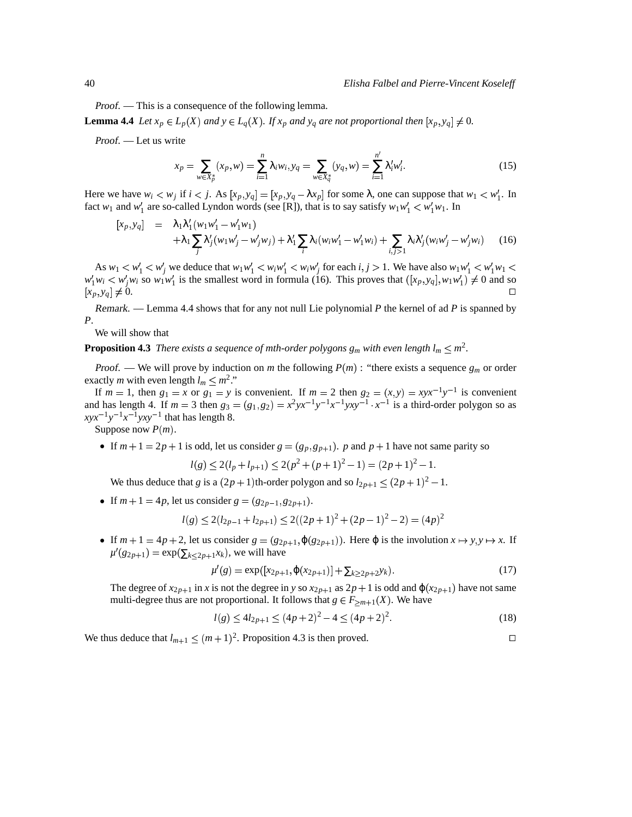Proof. — This is a consequence of the following lemma.

**Lemma 4.4** Let  $x_p \in L_p(X)$  and  $y \in L_q(X)$ . If  $x_p$  and  $y_q$  are not proportional then  $[x_p, y_q] \neq 0$ .

Proof. — Let us write

$$
x_p = \sum_{w \in X_p^*} (x_p, w) = \sum_{i=1}^n \lambda_i w_i, y_q = \sum_{w \in X_q^*} (y_q, w) = \sum_{i=1}^{n'} \lambda_i' w_i'. \tag{15}
$$

Here we have  $w_i < w_j$  if  $i < j$ . As  $[x_p, y_q] = [x_p, y_q - \lambda x_p]$  for some  $\lambda$ , one can suppose that  $w_1 < w'_1$ . In fact  $w_1$  and  $w'_1$  are so-called Lyndon words (see [R]), that is to say satisfy  $w_1w'_1 < w'_1w_1$ . In

$$
\begin{array}{rcl}\n[x_{p}, y_{q}] & = & \lambda_{1} \lambda_{1}^{\prime} (w_{1} w_{1}^{\prime} - w_{1}^{\prime} w_{1}) \\
& & + \lambda_{1} \sum_{j} \lambda_{j}^{\prime} (w_{1} w_{j}^{\prime} - w_{j}^{\prime} w_{j}) + \lambda_{1}^{\prime} \sum_{i} \lambda_{i} (w_{i} w_{1}^{\prime} - w_{1}^{\prime} w_{i}) + \sum_{i, j > 1} \lambda_{i} \lambda_{j}^{\prime} (w_{i} w_{j}^{\prime} - w_{j}^{\prime} w_{i})\n\end{array} \tag{16}
$$

As  $w_1 < w'_1 < w'_j$  we deduce that  $w_1w'_1 < w_iw'_j < w_iw'_j$  for each  $i, j > 1$ . We have also  $w_1w'_1 < w'_1w_1 <$  $w'_1w_i \leq w'_jw_i$  so  $w_1w'_1$  is the smallest word in formula (16). This proves that  $([x_p, y_q], w_1w'_1) \neq 0$  and so  $[x_p, y_q] \neq 0.$  $y_q \neq 0.$ 

Remark. — Lemma 4.4 shows that for any not null Lie polynomial *P* the kernel of ad *P* is spanned by *P*.

We will show that

**Proposition 4.3** There exists a sequence of mth-order polygons  $g_m$  with even length  $l_m \leq m^2$ .

*Proof.* — We will prove by induction on *m* the following  $P(m)$ : "there exists a sequence  $g_m$  or order exactly *m* with even length  $l_m \leq m^2$ ."

If  $m = 1$ , then  $g_1 = x$  or  $g_1 = y$  is convenient. If  $m = 2$  then  $g_2 = (x, y) = xyx^{-1}y^{-1}$  is convenient and has length 4. If  $m = 3$  then  $g_3 = (g_1, g_2) = x^2 y x^{-1} y^{-1} x^{-1} y x y^{-1} \cdot x^{-1}$  is a third-order polygon so as  $xyx^{-1}y^{-1}x^{-1}yxy^{-1}$  that has length 8.

Suppose now  $P(m)$ .

If  $m + 1 = 2p + 1$  is odd, let us consider  $g = (g_p, g_{p+1})$ . *p* and  $p + 1$  have not same parity so

$$
l(g) \le 2(l_p + l_{p+1}) \le 2(p^2 + (p+1)^2 - 1) = (2p+1)^2 - 1.
$$

We thus deduce that *g* is a  $(2p + 1)$ th-order polygon and so  $l_{2p+1} \leq (2p + 1)^2 - 1$ .

If  $m + 1 = 4p$ , let us consider  $g = (g_{2p-1}, g_{2p+1})$ .

$$
l(g) \le 2(l_{2p-1} + l_{2p+1}) \le 2((2p+1)^2 + (2p-1)^2 - 2) = (4p)^2
$$

If  $m + 1 = 4p + 2$ , let us consider  $g = (g_{2p+1}, \varphi(g_{2p+1}))$ . Here  $\varphi$  is the involution  $x \mapsto y, y \mapsto x$ . If  $\mu'(g_{2p+1}) = \exp(\sum_{k \le 2p+1} x_k)$ , we will have

$$
\mu'(g) = \exp([x_{2p+1}, \varphi(x_{2p+1})] + \sum_{k \ge 2p+2} y_k). \tag{17}
$$

The degree of  $x_{2p+1}$  in *x* is not the degree in *y* so  $x_{2p+1}$  as  $2p+1$  is odd and  $\varphi(x_{2p+1})$  have not same multi-degree thus are not proportional. It follows that  $g \in F_{\geq m+1}(X)$ . We have

$$
l(g) \le 4l_{2p+1} \le (4p+2)^2 - 4 \le (4p+2)^2. \tag{18}
$$

We thus deduce that  $l_{m+1} \leq (m+1)^2$ . Proposition 4.3 is then proved.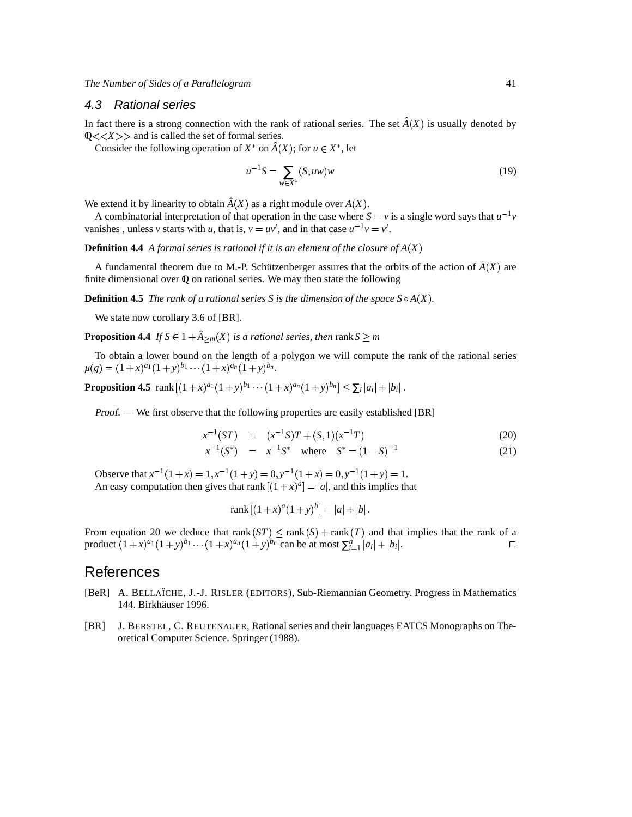### 4.3 Rational series

In fact there is a strong connection with the rank of rational series. The set  $\hat{A}(X)$  is usually denoted by  $Q \ll \ll X \gg$  and is called the set of formal series.

Consider the following operation of  $X^*$  on  $\hat{A}(X)$ ; for  $u \in X^*$ , let

$$
u^{-1}S = \sum_{w \in X^*} (S, uw)w
$$
 (19)

We extend it by linearity to obtain  $\hat{A}(X)$  as a right module over  $A(X)$ .

A combinatorial interpretation of that operation in the case where  $S = v$  is a single word says that  $u^{-1}v$ vanishes, unless *v* starts with *u*, that is,  $v = uv'$ , and in that case  $u^{-1}v = v'$ .

**Definition 4.4** *A formal series is rational if it is an element of the closure of*  $A(X)$ 

A fundamental theorem due to M.-P. Schützenberger assures that the orbits of the action of  $A(X)$  are finite dimensional over  $\Phi$  on rational series. We may then state the following

**Definition 4.5** The rank of a rational series S is the dimension of the space  $S \circ A(X)$ .

We state now corollary 3.6 of [BR].

**Proposition 4.4** *If*  $S \in 1 + \hat{A}_{>m}(X)$  *is a rational series, then* rank  $S > m$ 

To obtain a lower bound on the length of a polygon we will compute the rank of the rational series  $\mu(g) = (1+x)^{a_1}(1+y)^{b_1}\cdots(1+x)^{a_n}(1+y)^{b_n}.$ 

**Proposition 4.5** rank  $[(1+x)^{a_1}(1+y)^{b_1}\cdots(1+x)^{a_n}(1+y)^{b_n}] \leq \sum_i |a_i| + |b_i|$ .

Proof. — We first observe that the following properties are easily established [BR]

$$
x^{-1}(ST) = (x^{-1}S)T + (S,1)(x^{-1}T)
$$
\n(20)

$$
x^{-1}(S^*) = x^{-1}S^* \quad \text{where} \quad S^* = (1 - S)^{-1} \tag{21}
$$

Observe that  $x^{-1}(1+x) = 1, x^{-1}(1+y) = 0, y^{-1}(1+x) = 0, y^{-1}(1+y) = 1.$ An easy computation then gives that rank  $[(1 + x)^a] = |a|$ , and this implies that

$$
rank[(1+x)^a(1+y)^b] = |a| + |b|.
$$

From equation 20 we deduce that rank  $(ST) \leq rank(S) + rank(T)$  and that implies that the rank of a product  $(1+x)^{a_1}(1+y)^{b_1} \cdots (1+x)^{a_n}(1+y)^{b_n}$  can be at most  $\sum_{i=1}^n |a_i| + |b_i|$ . □

# **References**

- [BeR] A. BELLAÏCHE, J.-J. RISLER (EDITORS), Sub-Riemannian Geometry. Progress in Mathematics 144. Birkhäuser 1996.
- [BR] J. BERSTEL, C. REUTENAUER, Rational series and their languages EATCS Monographs on Theoretical Computer Science. Springer (1988).